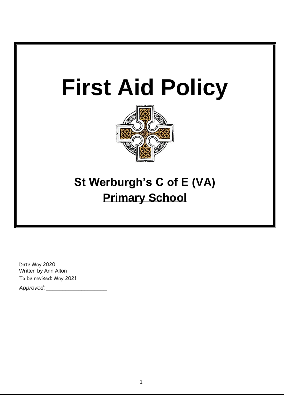

Date May 2020 Written by Ann Alton To be revised: May 2021

*Approved: \_\_\_\_\_\_\_\_\_\_\_\_\_\_\_\_\_\_\_*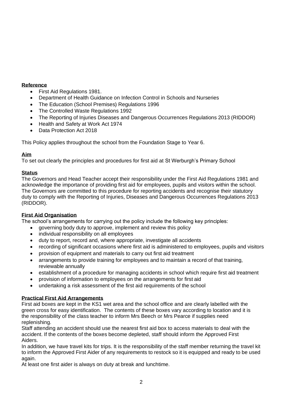# **Reference**

- First Aid Regulations 1981.
- Department of Health Guidance on Infection Control in Schools and Nurseries
- The Education (School Premises) Regulations 1996
- The Controlled Waste Regulations 1992
- The Reporting of Injuries Diseases and Dangerous Occurrences Regulations 2013 (RIDDOR)
- Health and Safety at Work Act 1974
- Data Protection Act 2018

This Policy applies throughout the school from the Foundation Stage to Year 6.

# **Aim**

To set out clearly the principles and procedures for first aid at St Werburgh's Primary School

# **Status**

The Governors and Head Teacher accept their responsibility under the First Aid Regulations 1981 and acknowledge the importance of providing first aid for employees, pupils and visitors within the school. The Governors are committed to this procedure for reporting accidents and recognise their statutory duty to comply with the Reporting of Injuries, Diseases and Dangerous Occurrences Regulations 2013 (RIDDOR).

# **First Aid Organisation**

The school's arrangements for carrying out the policy include the following key principles:

- governing body duty to approve, implement and review this policy
- individual responsibility on all employees
- duty to report, record and, where appropriate, investigate all accidents
- recording of significant occasions where first aid is administered to employees, pupils and visitors
- provision of equipment and materials to carry out first aid treatment
- arrangements to provide training for employees and to maintain a record of that training, reviewable annually
- establishment of a procedure for managing accidents in school which require first aid treatment
- provision of information to employees on the arrangements for first aid
- undertaking a risk assessment of the first aid requirements of the school

### **Practical First Aid Arrangements**

First aid boxes are kept in the KS1 wet area and the school office and are clearly labelled with the green cross for easy identification. The contents of these boxes vary according to location and it is the responsibility of the class teacher to inform Mrs Beech or Mrs Pearce if supplies need replenishing.

Staff attending an accident should use the nearest first aid box to access materials to deal with the accident. If the contents of the boxes become depleted, staff should inform the Approved First Aiders.

In addition, we have travel kits for trips. It is the responsibility of the staff member returning the travel kit to inform the Approved First Aider of any requirements to restock so it is equipped and ready to be used again.

At least one first aider is always on duty at break and lunchtime.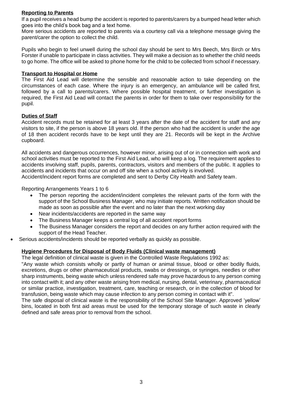## **Reporting to Parents**

If a pupil receives a head bump the accident is reported to parents/carers by a bumped head letter which goes into the child's book bag and a text home.

More serious accidents are reported to parents via a courtesy call via a telephone message giving the parent/carer the option to collect the child.

Pupils who begin to feel unwell during the school day should be sent to Mrs Beech, Mrs Birch or Mrs Forster if unable to participate in class activities. They will make a decision as to whether the child needs to go home. The office will be asked to phone home for the child to be collected from school if necessary.

#### **Transport to Hospital or Home**

The First Aid Lead will determine the sensible and reasonable action to take depending on the circumstances of each case. Where the injury is an emergency, an ambulance will be called first, followed by a call to parents/carers. Where possible hospital treatment, or further investigation is required, the First Aid Lead will contact the parents in order for them to take over responsibility for the pupil.

### **Duties of Staff**

Accident records must be retained for at least 3 years after the date of the accident for staff and any visitors to site, if the person is above 18 years old. If the person who had the accident is under the age of 18 then accident records have to be kept until they are 21. Records will be kept in the Archive cupboard.

All accidents and dangerous occurrences, however minor, arising out of or in connection with work and school activities must be reported to the First Aid Lead, who will keep a log. The requirement applies to accidents involving staff, pupils, parents, contractors, visitors and members of the public. It applies to accidents and incidents that occur on and off site when a school activity is involved. Accident/incident report forms are completed and sent to Derby City Health and Safety team.

Reporting Arrangements Years 1 to 6

- The person reporting the accident/incident completes the relevant parts of the form with the support of the School Business Manager, who may initiate reports. Written notification should be made as soon as possible after the event and no later than the next working day
- Near incidents/accidents are reported in the same way
- The Business Manager keeps a central log of all accident report forms
- The Business Manager considers the report and decides on any further action required with the support of the Head Teacher.
- Serious accidents/incidents should be reported verbally as quickly as possible.

### **Hygiene Procedures for Disposal of Body Fluids (Clinical waste management)**

The legal definition of clinical waste is given in the Controlled Waste Regulations 1992 as:

"Any waste which consists wholly or partly of human or animal tissue, blood or other bodily fluids, excretions, drugs or other pharmaceutical products, swabs or dressings, or syringes, needles or other sharp instruments, being waste which unless rendered safe may prove hazardous to any person coming into contact with it; and any other waste arising from medical, nursing, dental, veterinary, pharmaceutical or similar practice, investigation, treatment, care, teaching or research, or in the collection of blood for transfusion, being waste which may cause infection to any person coming in contact with it".

The safe disposal of clinical waste is the responsibility of the School Site Manager. Approved 'yellow' bins, located in both first aid areas must be used for the temporary storage of such waste in clearly defined and safe areas prior to removal from the school.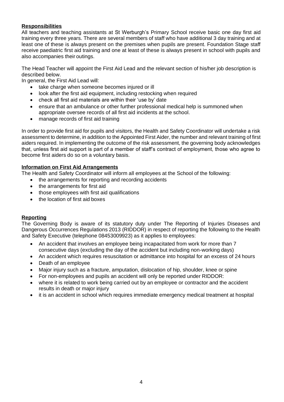# **Responsibilities**

All teachers and teaching assistants at St Werburgh's Primary School receive basic one day first aid training every three years. There are several members of staff who have additional 3 day training and at least one of these is always present on the premises when pupils are present. Foundation Stage staff receive paediatric first aid training and one at least of these is always present in school with pupils and also accompanies their outings.

The Head Teacher will appoint the First Aid Lead and the relevant section of his/her job description is described below.

In general, the First Aid Lead will:

- take charge when someone becomes injured or ill
- look after the first aid equipment, including restocking when required
- check all first aid materials are within their 'use by' date
- ensure that an ambulance or other further professional medical help is summoned when appropriate oversee records of all first aid incidents at the school.
- manage records of first aid training

In order to provide first aid for pupils and visitors, the Health and Safety Coordinator will undertake a risk assessment to determine, in addition to the Appointed First Aider, the number and relevant training of first aiders required. In implementing the outcome of the risk assessment, the governing body acknowledges that, unless first aid support is part of a member of staff's contract of employment, those who agree to become first aiders do so on a voluntary basis.

### **Information on First Aid Arrangements**

The Health and Safety Coordinator will inform all employees at the School of the following:

- the arrangements for reporting and recording accidents
- the arrangements for first aid
- those employees with first aid qualifications
- the location of first aid boxes

### **Reporting**

The Governing Body is aware of its statutory duty under The Reporting of Injuries Diseases and Dangerous Occurrences Regulations 2013 (RIDDOR) in respect of reporting the following to the Health and Safety Executive (telephone 08453009923) as it applies to employees:

- An accident that involves an employee being incapacitated from work for more than 7 consecutive days (excluding the day of the accident but including non-working days)
- An accident which requires resuscitation or admittance into hospital for an excess of 24 hours
- Death of an employee
- Major injury such as a fracture, amputation, dislocation of hip, shoulder, knee or spine
- For non-employees and pupils an accident will only be reported under RIDDOR:
- where it is related to work being carried out by an employee or contractor and the accident results in death or major injury
- it is an accident in school which requires immediate emergency medical treatment at hospital